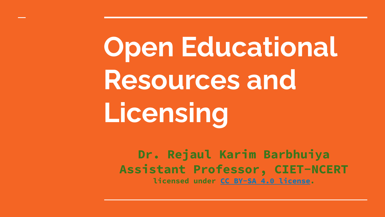**Open Educational Resources and Licensing**

**Dr. Rejaul Karim Barbhuiya Assistant Professor, CIET-NCERT licensed under [CC BY-SA 4.0 license](https://creativecommons.org/licenses/by-sa/4.0/).**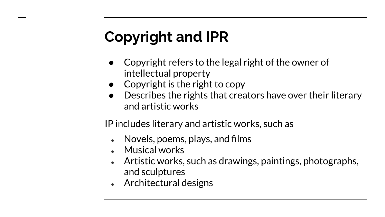# **Copyright and IPR**

- Copyright refers to the legal right of the owner of intellectual property
- $\bullet$  Copyright is the right to copy
- Describes the rights that creators have over their literary and artistic works

IP includes literary and artistic works, such as

- Novels, poems, plays, and films
- $\bullet$  Musical works
- Artistic works, such as drawings, paintings, photographs, and sculptures
- $\bullet$  Architectural designs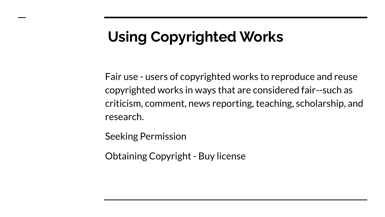# **Using Copyrighted Works**

Fair use - users of copyrighted works to reproduce and reuse copyrighted works in ways that are considered fair--such as criticism, comment, news reporting, teaching, scholarship, and research.

Seeking Permission

Obtaining Copyright - Buy license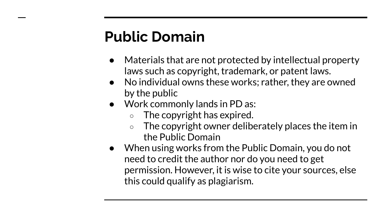# **Public Domain**

- Materials that are not protected by intellectual property laws such as copyright, trademark, or patent laws.
- No individual owns these works; rather, they are owned by the public
- Work commonly lands in PD as:
	- $\circ$  The [copyright has expired](https://copyright.cornell.edu/publicdomain).
	- The copyright owner deliberately places the item in the Public Domain
- When using works from the Public Domain, you do not need to credit the author nor do you need to get permission. However, it is wise to cite your sources, else this could qualify as plagiarism.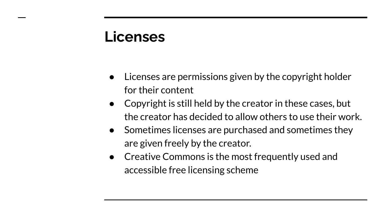#### **Licenses**

- Licenses are permissions given by the copyright holder for their content
- Copyright is still held by the creator in these cases, but the creator has decided to allow others to use their work.
- Sometimes licenses are purchased and sometimes they are given freely by the creator.
- Creative Commons is the most frequently used and accessible free licensing scheme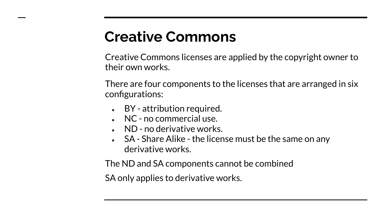# **Creative Commons**

Creative Commons licenses are applied by the copyright owner to their own works.

There are four components to the licenses that are arranged in six configurations:

- $\bullet$  BY attribution required.
- $\bullet$  NC no commercial use.
- $\bullet$  ND no derivative works.
- $\bullet$  SA Share Alike the license must be the same on any derivative works.

The ND and SA components cannot be combined

SA only applies to derivative works.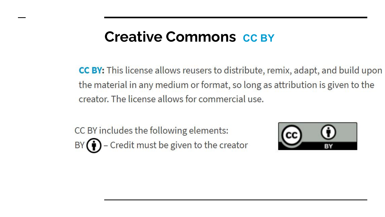#### **Creative Commons** [CC BY](https://creativecommons.org/licenses/by/4.0/)

CC BY: This license allows reusers to distribute, remix, adapt, and build upon the material in any medium or format, so long as attribution is given to the creator. The license allows for commercial use.

CC BY includes the following elements: BY  $\bigodot$  - Credit must be given to the creator

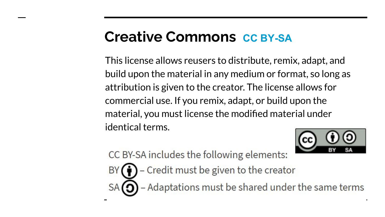#### **Creative Commons** *[CC BY-](https://creativecommons.org/licenses/by/4.0/)SA*

This license allows reusers to distribute, remix, adapt, and build upon the material in any medium or format, so long as attribution is given to the creator. The license allows for commercial use. If you remix, adapt, or build upon the material, you must license the modified material under identical terms.



CC BY-SA includes the following elements:

- Credit must be given to the creator **BY**  $\bigcirc$  – Adaptations must be shared under the same terms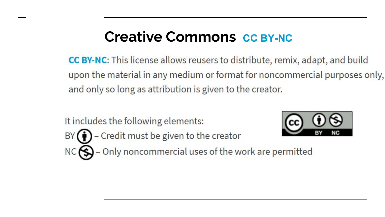### **Creative Commons [CC BY-](https://creativecommons.org/licenses/by/4.0/)NC**

**CC BY-NC:** This license allows reusers to distribute, remix, adapt, and build upon the material in any medium or format for noncommercial purposes only, and only so long as attribution is given to the creator.

It includes the following elements: BY  $\left(\bigoplus$  - Credit must be given to the creator NC $\bigotimes$  - Only noncommercial uses of the work are permitted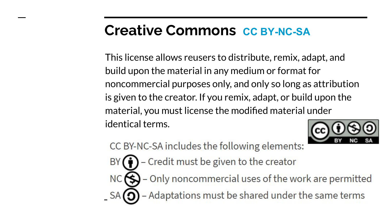### **Creative Commons [CC BY-](https://creativecommons.org/licenses/by/4.0/)NC-SA**

This license allows reusers to distribute, remix, adapt, and build upon the material in any medium or format for noncommercial purposes only, and only so long as attribution is given to the creator. If you remix, adapt, or build upon the material, you must license the modified material under identical terms.



CC BY-NC-SA includes the following elements:

- $\bullet$  Credit must be given to the creator **BY**
- $\bigcirc$  Only noncommercial uses of the work are permitted **NC** - Adaptations must be shared under the same terms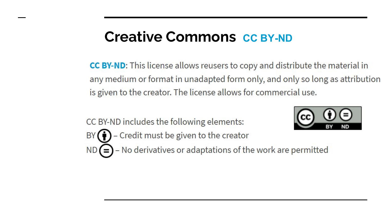#### **Creative Commons** *[CC BY-](https://creativecommons.org/licenses/by/4.0/)ND*

CC BY-ND: This license allows reusers to copy and distribute the material in any medium or format in unadapted form only, and only so long as attribution is given to the creator. The license allows for commercial use.

CC BY-ND includes the following elements: BY  $\bigodot$  - Credit must be given to the creator



 $ND(=)$  - No derivatives or adaptations of the work are permitted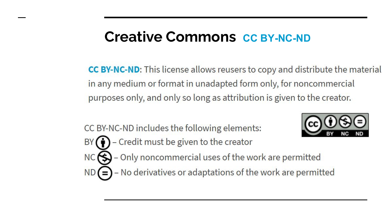#### **Creative Commons [CC BY-](https://creativecommons.org/licenses/by/4.0/)NC-ND**

**CC BY-NC-ND:** This license allows reusers to copy and distribute the material in any medium or format in unadapted form only, for noncommercial purposes only, and only so long as attribution is given to the creator.

CC BY-NC-ND includes the following elements:



- Credit must be given to the creator BY
- $\bigcirc$  Only noncommercial uses of the work are permitted
- $ND(=)$  No derivatives or adaptations of the work are permitted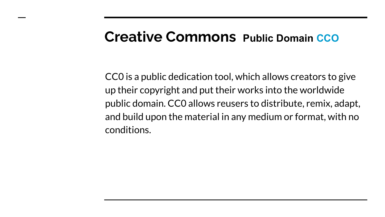#### **Creative Commons Public Domain CCO**

[CC0](https://creativecommons.org/publicdomain/zero/1.0/) is a public dedication tool, which allows creators to give up their copyright and put their works into the worldwide public domain. CC0 allows reusers to distribute, remix, adapt, and build upon the material in any medium or format, with no conditions.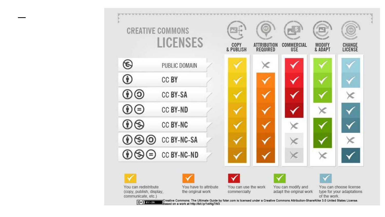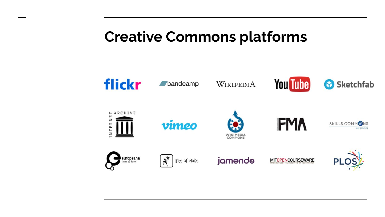### **Creative Commons platforms**

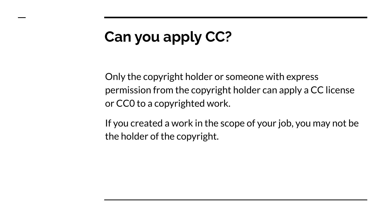# **Can you apply CC?**

Only the copyright holder or someone with express permission from the copyright holder can apply a CC license or CC0 to a copyrighted work.

If you created a work in the scope of your job, you may not be the holder of the copyright.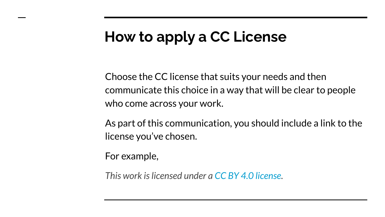# **How to apply a CC License**

Choose the CC license that suits your needs and then communicate this choice in a way that will be clear to people who come across your work.

As part of this communication, you should include a link to the license you've chosen.

For example,

*This work is licensed under a [CC BY 4.0 license.](https://creativecommons.org/licenses/by/4.0/)*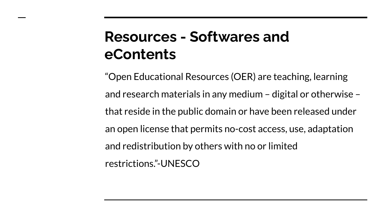# **Resources - Softwares and eContents**

"Open Educational Resources (OER) are teaching, learning and research materials in any medium – digital or otherwise – that reside in the public domain or have been released under an open license that permits no-cost access, use, adaptation and redistribution by others with no or limited restrictions."-UNESCO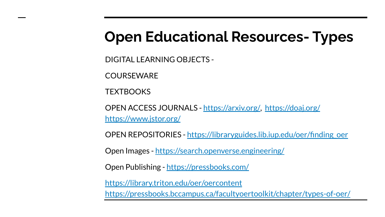# **Open Educational Resources- Types**

DIGITAL LEARNING OBJECTS -

**COURSEWARE** 

**TEXTROOKS** 

OPEN ACCESS JOURNALS - [https://arxiv.org/,](https://arxiv.org/) <https://doaj.org/> <https://www.jstor.org/>

OPEN REPOSITORIES - [https://libraryguides.lib.iup.edu/oer/finding\\_oer](https://libraryguides.lib.iup.edu/oer/finding_oer)

Open Images -<https://search.openverse.engineering/>

Open Publishing - <https://pressbooks.com/>

<https://library.triton.edu/oer/oercontent> <https://pressbooks.bccampus.ca/facultyoertoolkit/chapter/types-of-oer/>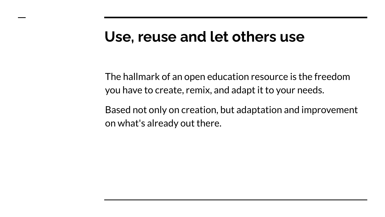#### **Use, reuse and let others use**

The hallmark of an open education resource is the freedom you have to create, remix, and adapt it to your needs.

Based not only on creation, but adaptation and improvement on what's already out there.